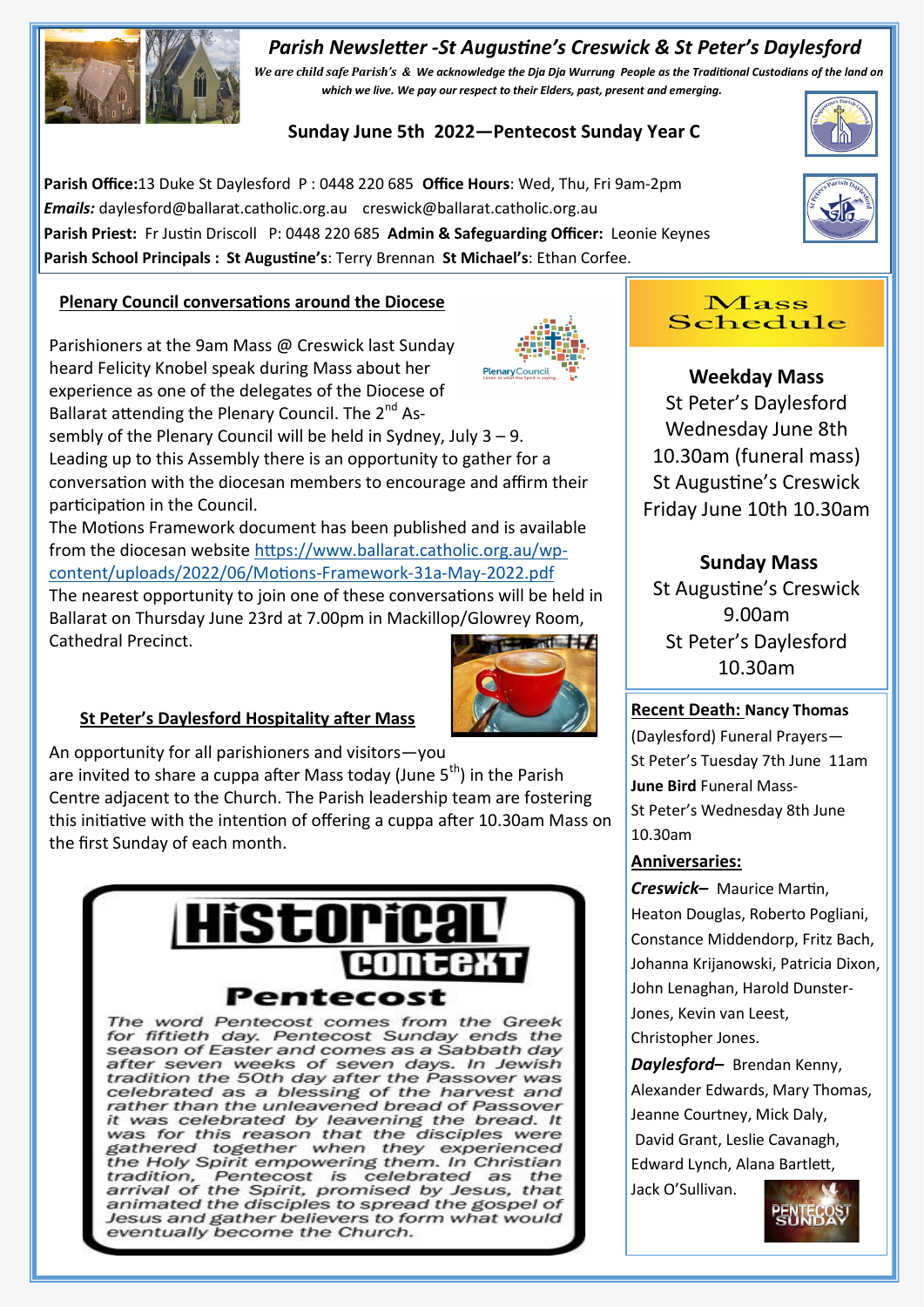# *Parish Newsletter -St Augustine's Creswick & St Peter's Daylesford*



*We are child safe Parish's & We acknowledge the Dja Dja Wurrung People as the Traditional Custodians of the land on which we live. We pay our respect to their Elders, past, present and emerging.* 

# **Sunday June 5th 2022—Pentecost Sunday Year C**

**Parish Office:**13 Duke St Daylesford P : 0448 220 685 **Office Hours**: Wed, Thu, Fri 9am-2pm *Emails:* daylesford@ballarat.catholic.org.au creswick@ballarat.catholic.org.au **Parish Priest:** Fr Justin Driscoll P: 0448 220 685 **Admin & Safeguarding Officer:** Leonie Keynes **Parish School Principals : St Augustine's**: Terry Brennan **St Michael's**: Ethan Corfee.



Parishioners at the 9am Mass @ Creswick last Sunday heard Felicity Knobel speak during Mass about her experience as one of the delegates of the Diocese of Ballarat attending the Plenary Council. The 2<sup>nd</sup> Assembly of the Plenary Council will be held in Sydney, July 3 – 9. Leading up to this Assembly there is an opportunity to gather for a conversation with the diocesan members to encourage and affirm their participation in the Council.

The Motions Framework document has been published and is available from the diocesan website [https://www.ballarat.catholic.org.au/wp](https://www.ballarat.catholic.org.au/wp-content/uploads/2022/06/Motions-Framework-31a-May-2022.pdf)[content/uploads/2022/06/Motions](https://www.ballarat.catholic.org.au/wp-content/uploads/2022/06/Motions-Framework-31a-May-2022.pdf)-Framework-31a-May-2022.pdf

The nearest opportunity to join one of these conversations will be held in Ballarat on Thursday June 23rd at 7.00pm in Mackillop/Glowrey Room, Cathedral Precinct.



## **St Peter's Daylesford Hospitality after Mass**

An opportunity for all parishioners and visitors—you are invited to share a cuppa after Mass today (June  $5<sup>th</sup>$ ) in the Parish Centre adjacent to the Church. The Parish leadership team are fostering this initiative with the intention of offering a cuppa after 10.30am Mass on the first Sunday of each month.



The word Pentecost comes from the Greek for fiftieth day. Pentecost Sunday ends the season of Easter and comes as a Sabbath day after seven weeks of seven days. In Jewish<br>tradition the 50th day after the Passover was celebrated as a blessing of the harvest and rather than the unleavened bread of Passover it was celebrated by leavening the bread. It<br>was for this reason that the disciples were gathered together when they experienced the Holy Spirit empowering them. In Christian tradition, Pentecost is celebrated as the<br>arrival of the Spirit, promised by Jesus, that<br>animated the disciples to spread the gospel of Jesus and gather believers to form what would eventually become the Church.



**Weekday Mass** St Peter's Daylesford Wednesday June 8th 10.30am (funeral mass) St Augustine's Creswick Friday June 10th 10.30am

**Sunday Mass** St Augustine's Creswick 9.00am St Peter's Daylesford 10.30am

### **Recent Death: Nancy Thomas**

(Daylesford) Funeral Prayers— St Peter's Tuesday 7th June 11am **June Bird** Funeral Mass-St Peter's Wednesday 8th June 10.30am

### **Anniversaries:**

*Creswick–* Maurice Martin, Heaton Douglas, Roberto Pogliani, Constance Middendorp, Fritz Bach, Johanna Krijanowski, Patricia Dixon, John Lenaghan, Harold Dunster-Jones, Kevin van Leest, Christopher Jones.

*Daylesford–* Brendan Kenny, Alexander Edwards, Mary Thomas, Jeanne Courtney, Mick Daly, David Grant, Leslie Cavanagh, Edward Lynch, Alana Bartlett, Jack O'Sullivan.